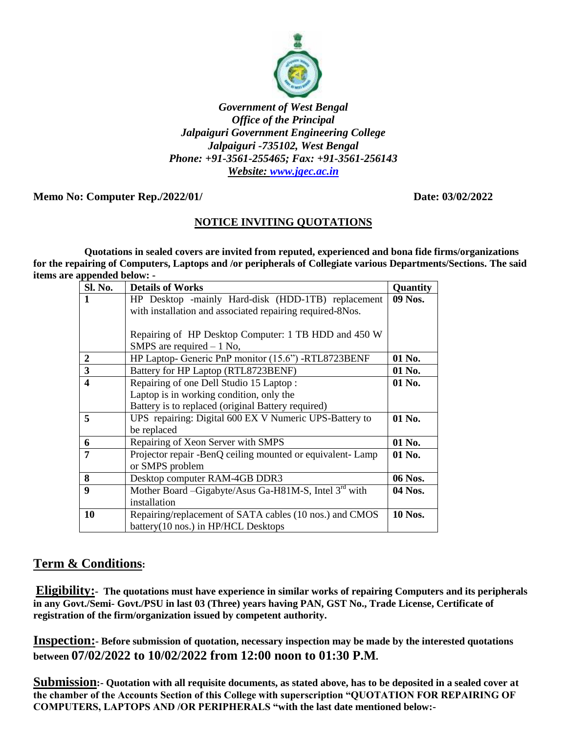

#### *Government of West Bengal Office of the Principal Jalpaiguri Government Engineering College Jalpaiguri -735102, West Bengal Phone: +91-3561-255465; Fax: +91-3561-256143 Website: [www.jgec.ac.in](http://www.jgec.ac.in/)*

### **Memo No: Computer Rep./2022/01/ Date: 03/02/2022**

## **NOTICE INVITING QUOTATIONS**

 **Quotations in sealed covers are invited from reputed, experienced and bona fide firms/organizations for the repairing of Computers, Laptops and /or peripherals of Collegiate various Departments/Sections. The said items are appended below: -**

| Sl. No.                 | <b>Details of Works</b>                                           |                |  |  |
|-------------------------|-------------------------------------------------------------------|----------------|--|--|
|                         | HP Desktop -mainly Hard-disk (HDD-1TB) replacement                |                |  |  |
|                         | with installation and associated repairing required-8Nos.         |                |  |  |
|                         |                                                                   |                |  |  |
|                         | Repairing of HP Desktop Computer: 1 TB HDD and 450 W              |                |  |  |
|                         | SMPS are required $-1$ No,                                        |                |  |  |
| $\overline{2}$          | HP Laptop- Generic PnP monitor (15.6") -RTL8723BENF               |                |  |  |
| $\overline{\mathbf{3}}$ | Battery for HP Laptop (RTL8723BENF)<br>01 No.                     |                |  |  |
| $\overline{\mathbf{4}}$ | Repairing of one Dell Studio 15 Laptop:                           |                |  |  |
|                         | Laptop is in working condition, only the                          |                |  |  |
|                         | Battery is to replaced (original Battery required)                |                |  |  |
| 5                       | UPS repairing: Digital 600 EX V Numeric UPS-Battery to<br>01 No.  |                |  |  |
|                         | be replaced                                                       |                |  |  |
| 6                       | Repairing of Xeon Server with SMPS                                |                |  |  |
| 7                       | Projector repair -BenQ ceiling mounted or equivalent- Lamp        |                |  |  |
|                         | or SMPS problem                                                   |                |  |  |
| 8                       | Desktop computer RAM-4GB DDR3<br>06 Nos.                          |                |  |  |
| 9                       | Mother Board –Gigabyte/Asus Ga-H81M-S, Intel 3 <sup>rd</sup> with | 04 Nos.        |  |  |
|                         | installation                                                      |                |  |  |
| 10                      | Repairing/replacement of SATA cables (10 nos.) and CMOS           | <b>10 Nos.</b> |  |  |
|                         | battery(10 nos.) in HP/HCL Desktops                               |                |  |  |

# **Term & Conditions:**

**Eligibility:- The quotations must have experience in similar works of repairing Computers and its peripherals in any Govt./Semi- Govt./PSU in last 03 (Three) years having PAN, GST No., Trade License, Certificate of registration of the firm/organization issued by competent authority.**

**Inspection:- Before submission of quotation, necessary inspection may be made by the interested quotations between 07/02/2022 to 10/02/2022 from 12:00 noon to 01:30 P.M.**

**Submission:- Quotation with all requisite documents, as stated above, has to be deposited in a sealed cover at the chamber of the Accounts Section of this College with superscription "QUOTATION FOR REPAIRING OF COMPUTERS, LAPTOPS AND /OR PERIPHERALS "with the last date mentioned below:-**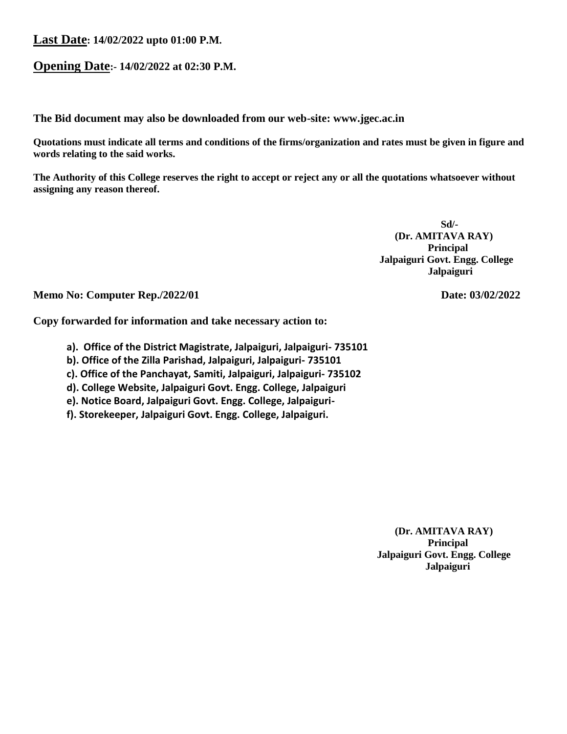#### **Last Date: 14/02/2022 upto 01:00 P.M.**

### **Opening Date:- 14/02/2022 at 02:30 P.M.**

**The Bid document may also be downloaded from our web-site: www.jgec.ac.in**

**Quotations must indicate all terms and conditions of the firms/organization and rates must be given in figure and words relating to the said works.**

**The Authority of this College reserves the right to accept or reject any or all the quotations whatsoever without assigning any reason thereof.**

 **Sd/- (Dr. AMITAVA RAY) Principal Jalpaiguri Govt. Engg. College Jalpaiguri**

**Memo No: Computer Rep./2022/01** Date: 03/02/2022

**Copy forwarded for information and take necessary action to:**

- **a). Office of the District Magistrate, Jalpaiguri, Jalpaiguri- 735101**
- **b). Office of the Zilla Parishad, Jalpaiguri, Jalpaiguri- 735101**
- **c). Office of the Panchayat, Samiti, Jalpaiguri, Jalpaiguri- 735102**
- **d). College Website, Jalpaiguri Govt. Engg. College, Jalpaiguri**
- **e). Notice Board, Jalpaiguri Govt. Engg. College, Jalpaiguri-**
- **f). Storekeeper, Jalpaiguri Govt. Engg. College, Jalpaiguri.**

 **(Dr. AMITAVA RAY) Principal Jalpaiguri Govt. Engg. College Jalpaiguri**